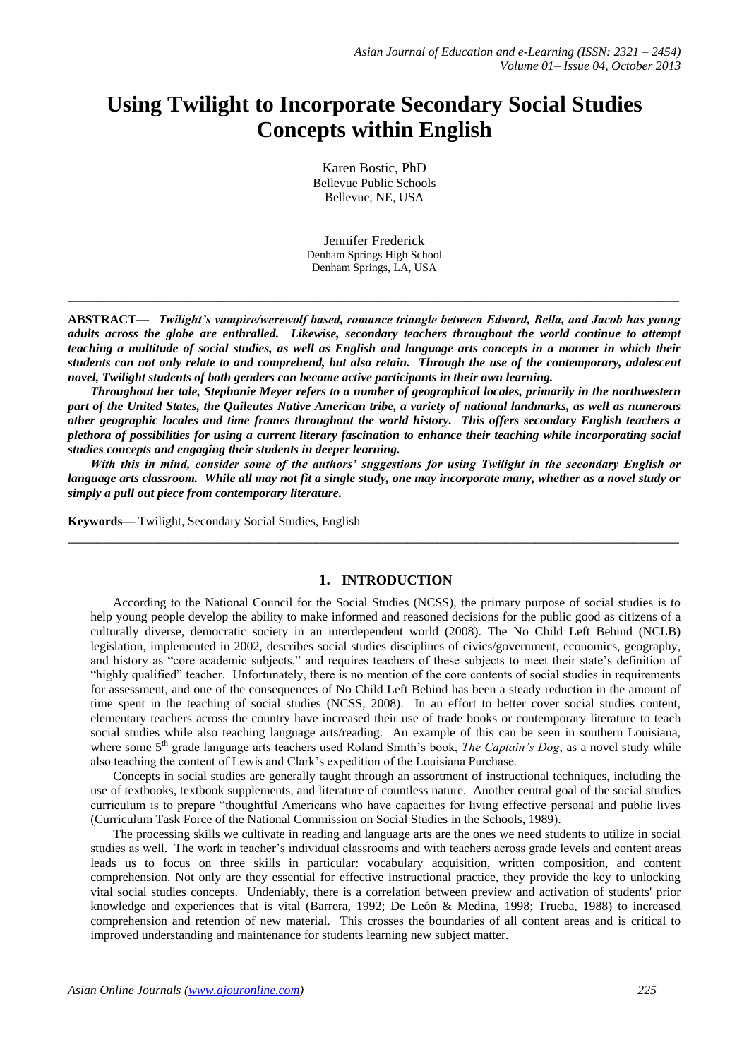# **Using Twilight to Incorporate Secondary Social Studies Concepts within English**

Karen Bostic, PhD Bellevue Public Schools Bellevue, NE, USA

Jennifer Frederick Denham Springs High School Denham Springs, LA, USA

**\_\_\_\_\_\_\_\_\_\_\_\_\_\_\_\_\_\_\_\_\_\_\_\_\_\_\_\_\_\_\_\_\_\_\_\_\_\_\_\_\_\_\_\_\_\_\_\_\_\_\_\_\_\_\_\_\_\_\_\_\_\_\_\_\_\_\_\_\_\_\_\_\_\_\_\_\_\_\_\_\_**

**ABSTRACT—** *Twilight's vampire/werewolf based, romance triangle between Edward, Bella, and Jacob has young adults across the globe are enthralled. Likewise, secondary teachers throughout the world continue to attempt teaching a multitude of social studies, as well as English and language arts concepts in a manner in which their students can not only relate to and comprehend, but also retain. Through the use of the contemporary, adolescent novel, Twilight students of both genders can become active participants in their own learning.* 

*Throughout her tale, Stephanie Meyer refers to a number of geographical locales, primarily in the northwestern part of the United States, the Quileutes Native American tribe, a variety of national landmarks, as well as numerous other geographic locales and time frames throughout the world history. This offers secondary English teachers a plethora of possibilities for using a current literary fascination to enhance their teaching while incorporating social studies concepts and engaging their students in deeper learning.* 

*With this in mind, consider some of the authors' suggestions for using Twilight in the secondary English or language arts classroom. While all may not fit a single study, one may incorporate many, whether as a novel study or simply a pull out piece from contemporary literature.*

**\_\_\_\_\_\_\_\_\_\_\_\_\_\_\_\_\_\_\_\_\_\_\_\_\_\_\_\_\_\_\_\_\_\_\_\_\_\_\_\_\_\_\_\_\_\_\_\_\_\_\_\_\_\_\_\_\_\_\_\_\_\_\_\_\_\_\_\_\_\_\_\_\_\_\_\_\_\_\_\_\_**

**Keywords—** Twilight, Secondary Social Studies, English

# **1. INTRODUCTION**

According to the National Council for the Social Studies (NCSS), the primary purpose of social studies is to help young people develop the ability to make informed and reasoned decisions for the public good as citizens of a culturally diverse, democratic society in an interdependent world (2008). The No Child Left Behind (NCLB) legislation, implemented in 2002, describes social studies disciplines of civics/government, economics, geography, and history as "core academic subjects," and requires teachers of these subjects to meet their state's definition of "highly qualified" teacher. Unfortunately, there is no mention of the core contents of social studies in requirements for assessment, and one of the consequences of No Child Left Behind has been a steady reduction in the amount of time spent in the teaching of social studies (NCSS, 2008). In an effort to better cover social studies content, elementary teachers across the country have increased their use of trade books or contemporary literature to teach social studies while also teaching language arts/reading. An example of this can be seen in southern Louisiana, where some 5<sup>th</sup> grade language arts teachers used Roland Smith's book, *The Captain's Dog*, as a novel study while also teaching the content of Lewis and Clark's expedition of the Louisiana Purchase.

Concepts in social studies are generally taught through an assortment of instructional techniques, including the use of textbooks, textbook supplements, and literature of countless nature. Another central goal of the social studies curriculum is to prepare "thoughtful Americans who have capacities for living effective personal and public lives (Curriculum Task Force of the National Commission on Social Studies in the Schools, 1989).

The processing skills we cultivate in reading and language arts are the ones we need students to utilize in social studies as well. The work in teacher's individual classrooms and with teachers across grade levels and content areas leads us to focus on three skills in particular: vocabulary acquisition, written composition, and content comprehension. Not only are they essential for effective instructional practice, they provide the key to unlocking vital social studies concepts. Undeniably, there is a correlation between preview and activation of students' prior knowledge and experiences that is vital (Barrera, 1992; De León & Medina, 1998; Trueba, 1988) to increased comprehension and retention of new material. This crosses the boundaries of all content areas and is critical to improved understanding and maintenance for students learning new subject matter.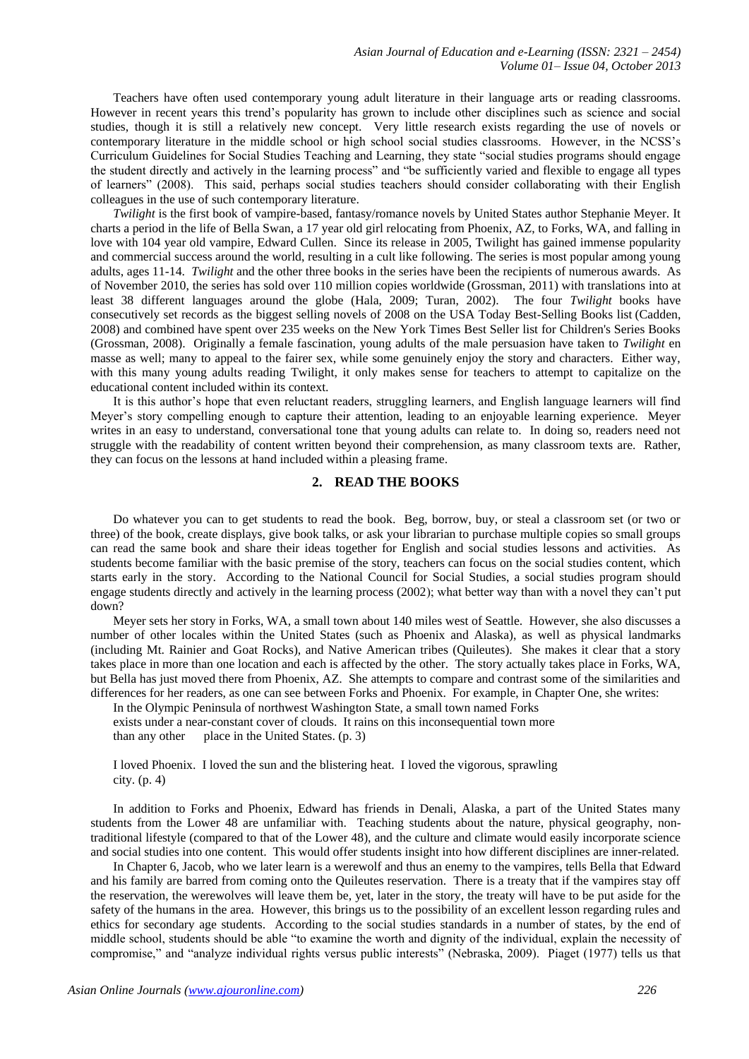Teachers have often used contemporary young adult literature in their language arts or reading classrooms. However in recent years this trend's popularity has grown to include other disciplines such as science and social studies, though it is still a relatively new concept. Very little research exists regarding the use of novels or contemporary literature in the middle school or high school social studies classrooms. However, in the NCSS's Curriculum Guidelines for Social Studies Teaching and Learning, they state "social studies programs should engage the student directly and actively in the learning process" and "be sufficiently varied and flexible to engage all types of learners" (2008). This said, perhaps social studies teachers should consider collaborating with their English colleagues in the use of such contemporary literature.

*Twilight* is the first book of vampire-based, fantasy/romance novels by United States author Stephanie Meyer. It charts a period in the life of Bella Swan, a 17 year old girl relocating from Phoenix, AZ, to Forks, WA, and falling in love with 104 year old vampire, Edward Cullen. Since its release in 2005, Twilight has gained immense popularity and commercial success around the world, resulting in a cult like following. The series is most popular among young adults, ages 11-14. *Twilight* and the other three books in the series have been the recipients of numerous awards. As of November 2010, the series has sold over 110 million copies worldwide (Grossman, 2011) with translations into at least 38 different languages around the globe (Hala, 2009; Turan, 2002). The four *Twilight* books have consecutively set records as the biggest selling novels of 2008 on the USA Today Best-Selling Books list (Cadden, 2008) and combined have spent over 235 weeks on the New York Times Best Seller list for Children's Series Books (Grossman, 2008). Originally a female fascination, young adults of the male persuasion have taken to *Twilight* en masse as well; many to appeal to the fairer sex, while some genuinely enjoy the story and characters. Either way, with this many young adults reading Twilight, it only makes sense for teachers to attempt to capitalize on the educational content included within its context.

It is this author's hope that even reluctant readers, struggling learners, and English language learners will find Meyer's story compelling enough to capture their attention, leading to an enjoyable learning experience. Meyer writes in an easy to understand, conversational tone that young adults can relate to. In doing so, readers need not struggle with the readability of content written beyond their comprehension, as many classroom texts are. Rather, they can focus on the lessons at hand included within a pleasing frame.

### **2. READ THE BOOKS**

Do whatever you can to get students to read the book. Beg, borrow, buy, or steal a classroom set (or two or three) of the book, create displays, give book talks, or ask your librarian to purchase multiple copies so small groups can read the same book and share their ideas together for English and social studies lessons and activities. As students become familiar with the basic premise of the story, teachers can focus on the social studies content, which starts early in the story. According to the National Council for Social Studies, a social studies program should engage students directly and actively in the learning process (2002); what better way than with a novel they can't put down?

Meyer sets her story in Forks, WA, a small town about 140 miles west of Seattle. However, she also discusses a number of other locales within the United States (such as Phoenix and Alaska), as well as physical landmarks (including Mt. Rainier and Goat Rocks), and Native American tribes (Quileutes). She makes it clear that a story takes place in more than one location and each is affected by the other. The story actually takes place in Forks, WA, but Bella has just moved there from Phoenix, AZ. She attempts to compare and contrast some of the similarities and differences for her readers, as one can see between Forks and Phoenix. For example, in Chapter One, she writes:

In the Olympic Peninsula of northwest Washington State, a small town named Forks

exists under a near-constant cover of clouds. It rains on this inconsequential town more

than any other place in the United States.  $(p. 3)$ 

I loved Phoenix. I loved the sun and the blistering heat. I loved the vigorous, sprawling city. (p. 4)

In addition to Forks and Phoenix, Edward has friends in Denali, Alaska, a part of the United States many students from the Lower 48 are unfamiliar with. Teaching students about the nature, physical geography, nontraditional lifestyle (compared to that of the Lower 48), and the culture and climate would easily incorporate science and social studies into one content. This would offer students insight into how different disciplines are inner-related.

In Chapter 6, Jacob, who we later learn is a werewolf and thus an enemy to the vampires, tells Bella that Edward and his family are barred from coming onto the Quileutes reservation. There is a treaty that if the vampires stay off the reservation, the werewolves will leave them be, yet, later in the story, the treaty will have to be put aside for the safety of the humans in the area. However, this brings us to the possibility of an excellent lesson regarding rules and ethics for secondary age students. According to the social studies standards in a number of states, by the end of middle school, students should be able "to examine the worth and dignity of the individual, explain the necessity of compromise," and "analyze individual rights versus public interests" (Nebraska, 2009). Piaget (1977) tells us that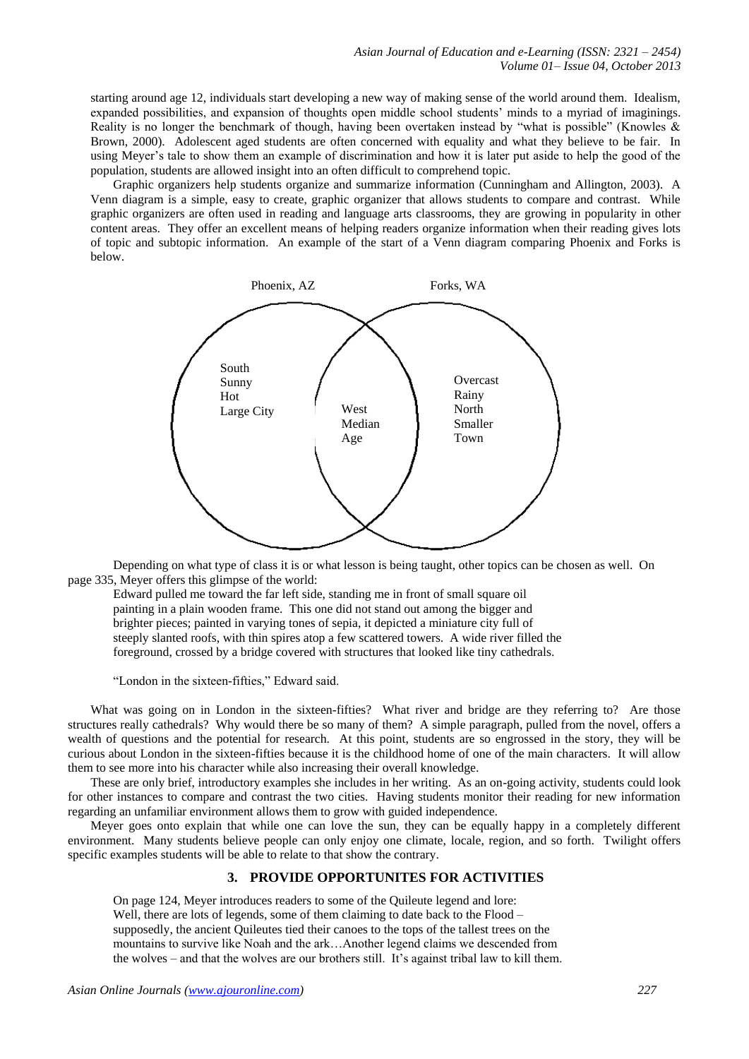starting around age 12, individuals start developing a new way of making sense of the world around them. Idealism, expanded possibilities, and expansion of thoughts open middle school students' minds to a myriad of imaginings. Reality is no longer the benchmark of though, having been overtaken instead by "what is possible" (Knowles & Brown, 2000). Adolescent aged students are often concerned with equality and what they believe to be fair. In using Meyer's tale to show them an example of discrimination and how it is later put aside to help the good of the population, students are allowed insight into an often difficult to comprehend topic.

Graphic organizers help students organize and summarize information (Cunningham and Allington, 2003). A Venn diagram is a simple, easy to create, graphic organizer that allows students to compare and contrast. While graphic organizers are often used in reading and language arts classrooms, they are growing in popularity in other content areas. They offer an excellent means of helping readers organize information when their reading gives lots of topic and subtopic information. An example of the start of a Venn diagram comparing Phoenix and Forks is below.



Depending on what type of class it is or what lesson is being taught, other topics can be chosen as well. On page 335, Meyer offers this glimpse of the world:

Edward pulled me toward the far left side, standing me in front of small square oil painting in a plain wooden frame. This one did not stand out among the bigger and brighter pieces; painted in varying tones of sepia, it depicted a miniature city full of steeply slanted roofs, with thin spires atop a few scattered towers. A wide river filled the foreground, crossed by a bridge covered with structures that looked like tiny cathedrals.

"London in the sixteen-fifties," Edward said.

What was going on in London in the sixteen-fifties? What river and bridge are they referring to? Are those structures really cathedrals? Why would there be so many of them? A simple paragraph, pulled from the novel, offers a wealth of questions and the potential for research. At this point, students are so engrossed in the story, they will be curious about London in the sixteen-fifties because it is the childhood home of one of the main characters. It will allow them to see more into his character while also increasing their overall knowledge.

These are only brief, introductory examples she includes in her writing. As an on-going activity, students could look for other instances to compare and contrast the two cities. Having students monitor their reading for new information regarding an unfamiliar environment allows them to grow with guided independence.

Meyer goes onto explain that while one can love the sun, they can be equally happy in a completely different environment. Many students believe people can only enjoy one climate, locale, region, and so forth. Twilight offers specific examples students will be able to relate to that show the contrary.

# **3. PROVIDE OPPORTUNITES FOR ACTIVITIES**

On page 124, Meyer introduces readers to some of the Quileute legend and lore: Well, there are lots of legends, some of them claiming to date back to the Flood – supposedly, the ancient Quileutes tied their canoes to the tops of the tallest trees on the mountains to survive like Noah and the ark…Another legend claims we descended from the wolves – and that the wolves are our brothers still. It's against tribal law to kill them.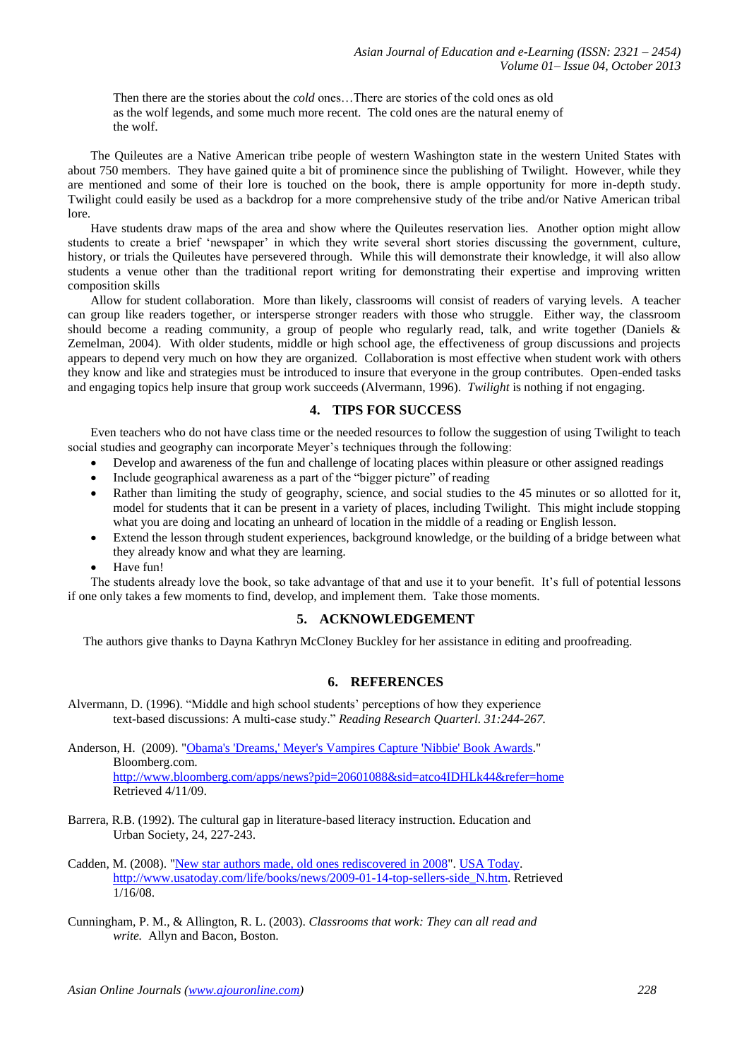Then there are the stories about the *cold* ones…There are stories of the cold ones as old as the wolf legends, and some much more recent. The cold ones are the natural enemy of the wolf.

The Quileutes are a Native American tribe people of western Washington state in the western United States with about 750 members. They have gained quite a bit of prominence since the publishing of Twilight. However, while they are mentioned and some of their lore is touched on the book, there is ample opportunity for more in-depth study. Twilight could easily be used as a backdrop for a more comprehensive study of the tribe and/or Native American tribal lore.

Have students draw maps of the area and show where the Quileutes reservation lies. Another option might allow students to create a brief 'newspaper' in which they write several short stories discussing the government, culture, history, or trials the Quileutes have persevered through. While this will demonstrate their knowledge, it will also allow students a venue other than the traditional report writing for demonstrating their expertise and improving written composition skills

Allow for student collaboration. More than likely, classrooms will consist of readers of varying levels. A teacher can group like readers together, or intersperse stronger readers with those who struggle. Either way, the classroom should become a reading community, a group of people who regularly read, talk, and write together (Daniels & Zemelman, 2004). With older students, middle or high school age, the effectiveness of group discussions and projects appears to depend very much on how they are organized. Collaboration is most effective when student work with others they know and like and strategies must be introduced to insure that everyone in the group contributes. Open-ended tasks and engaging topics help insure that group work succeeds (Alvermann, 1996). *Twilight* is nothing if not engaging.

# **4. TIPS FOR SUCCESS**

Even teachers who do not have class time or the needed resources to follow the suggestion of using Twilight to teach social studies and geography can incorporate Meyer's techniques through the following:

- Develop and awareness of the fun and challenge of locating places within pleasure or other assigned readings
- Include geographical awareness as a part of the "bigger picture" of reading
- Rather than limiting the study of geography, science, and social studies to the 45 minutes or so allotted for it, model for students that it can be present in a variety of places, including Twilight. This might include stopping what you are doing and locating an unheard of location in the middle of a reading or English lesson.
- Extend the lesson through student experiences, background knowledge, or the building of a bridge between what they already know and what they are learning.
- Have fun!

The students already love the book, so take advantage of that and use it to your benefit. It's full of potential lessons if one only takes a few moments to find, develop, and implement them. Take those moments.

# **5. ACKNOWLEDGEMENT**

The authors give thanks to Dayna Kathryn McCloney Buckley for her assistance in editing and proofreading.

### **6. REFERENCES**

Alvermann, D. (1996). "Middle and high school students' perceptions of how they experience text-based discussions: A multi-case study." *Reading Research Quarterl. 31:244-267.*

Anderson, H. (2009). ["Obama's 'Dreams,' Meyer's Vampires Capture 'Nibbie' Book Awards.](http://www.bloomberg.com/apps/news?pid=20601088&sid=atco4IDHLk44&refer=home)" Bloomberg.com. <http://www.bloomberg.com/apps/news?pid=20601088&sid=atco4IDHLk44&refer=home> Retrieved 4/11/09.

- Barrera, R.B. (1992). The cultural gap in literature-based literacy instruction. Education and Urban Society, 24, 227-243.
- Cadden, M. (2008). ["New star authors made, old ones rediscovered in 2008"](http://www.usatoday.com/life/books/news/2009-01-14-top-sellers-side_N.htm). [USA Today.](http://en.wikipedia.org/wiki/USA_Today) [http://www.usatoday.com/life/books/news/2009-01-14-top-sellers-side\\_N.htm.](http://www.usatoday.com/life/books/news/2009-01-14-top-sellers-side_N.htm) Retrieved 1/16/08.
- Cunningham, P. M., & Allington, R. L. (2003). *Classrooms that work: They can all read and write.* Allyn and Bacon, Boston.